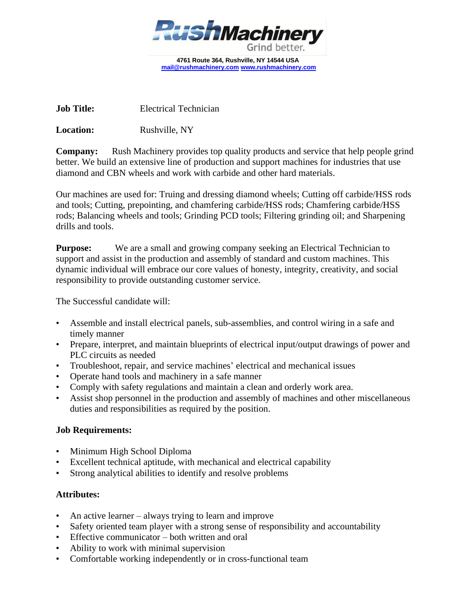

**4761 Route 364, Rushville, NY 14544 USA [mail@rushmachinery.com](mailto:mail@rushmachinery.com) [www.rushmachinery.com](http://www.rushmachinery.com/)**

**Job Title:** Electrical Technician

**Location:** Rushville, NY

**Company:** Rush Machinery provides top quality products and service that help people grind better. We build an extensive line of production and support machines for industries that use diamond and CBN wheels and work with carbide and other hard materials.

Our machines are used for: Truing and dressing diamond wheels; Cutting off carbide/HSS rods and tools; Cutting, prepointing, and chamfering carbide/HSS rods; Chamfering carbide/HSS rods; Balancing wheels and tools; Grinding PCD tools; Filtering grinding oil; and Sharpening drills and tools.

**Purpose:** We are a small and growing company seeking an Electrical Technician to support and assist in the production and assembly of standard and custom machines. This dynamic individual will embrace our core values of honesty, integrity, creativity, and social responsibility to provide outstanding customer service.

The Successful candidate will:

- Assemble and install electrical panels, sub-assemblies, and control wiring in a safe and timely manner
- Prepare, interpret, and maintain blueprints of electrical input/output drawings of power and PLC circuits as needed
- Troubleshoot, repair, and service machines' electrical and mechanical issues
- Operate hand tools and machinery in a safe manner
- Comply with safety regulations and maintain a clean and orderly work area.
- Assist shop personnel in the production and assembly of machines and other miscellaneous duties and responsibilities as required by the position.

## **Job Requirements:**

- Minimum High School Diploma
- Excellent technical aptitude, with mechanical and electrical capability
- Strong analytical abilities to identify and resolve problems

## **Attributes:**

- An active learner always trying to learn and improve
- Safety oriented team player with a strong sense of responsibility and accountability
- Effective communicator both written and oral
- Ability to work with minimal supervision
- Comfortable working independently or in cross-functional team